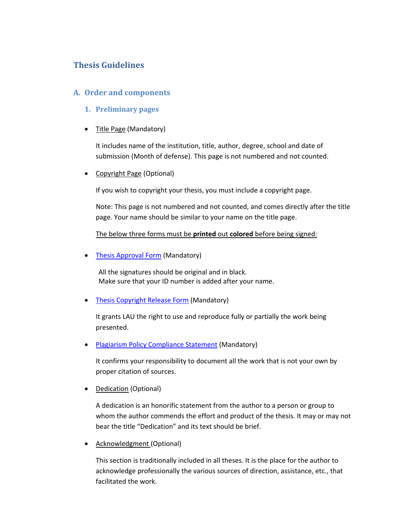# **Thesis Guidelines**

### **A. Order and components**

- 1. **Preliminary pages**
- Title Page (Mandatory)

It includes name of the institution, title, author, degree, school and date of submission (Month of defense). This page is not numbered and not counted.

• Copyright Page (Optional)

If you wish to copyright your thesis, you must include a copyright page.

Note: This page is not numbered and not counted, and comes directly after the title page. Your name should be similar to your name on the title page.

The below three forms must be **printed** out **colored** before being signed:

• Thesis Approval Form (Mandatory)

All the signatures should be original and in black. Make sure that your ID number is added after your name.

• Thesis Copyright Release Form (Mandatory)

It grants LAU the right to use and reproduce fully or partially the work being presented.

• Plagiarism Policy Compliance Statement (Mandatory)

It confirms your responsibility to document all the work that is not your own by proper citation of sources.

• Dedication (Optional)

A dedication is an honorific statement from the author to a person or group to whom the author commends the effort and product of the thesis. It may or may not bear the title "Dedication" and its text should be brief.

Acknowledgment (Optional)

This section is traditionally included in all theses. It is the place for the author to acknowledge professionally the various sources of direction, assistance, etc., that facilitated the work.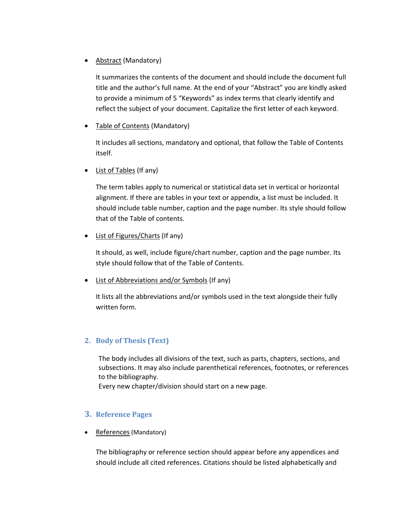### • Abstract (Mandatory)

It summarizes the contents of the document and should include the document full title and the author's full name. At the end of your "Abstract" you are kindly asked to provide a minimum of 5 "Keywords" as index terms that clearly identify and reflect the subject of your document. Capitalize the first letter of each keyword.

• Table of Contents (Mandatory)

It includes all sections, mandatory and optional, that follow the Table of Contents itself.

• List of Tables (If any)

The term tables apply to numerical or statistical data set in vertical or horizontal alignment. If there are tables in your text or appendix, a list must be included. It should include table number, caption and the page number. Its style should follow that of the Table of contents.

• List of Figures/Charts (If any)

It should, as well, include figure/chart number, caption and the page number. Its style should follow that of the Table of Contents.

List of Abbreviations and/or Symbols (If any)

It lists all the abbreviations and/or symbols used in the text alongside their fully written form.

## **2. Body of Thesis (Text)**

The body includes all divisions of the text, such as parts, chapters, sections, and subsections. It may also include parenthetical references, footnotes, or references to the bibliography.

Every new chapter/division should start on a new page.

## **3. Reference Pages**

• References (Mandatory)

The bibliography or reference section should appear before any appendices and should include all cited references. Citations should be listed alphabetically and